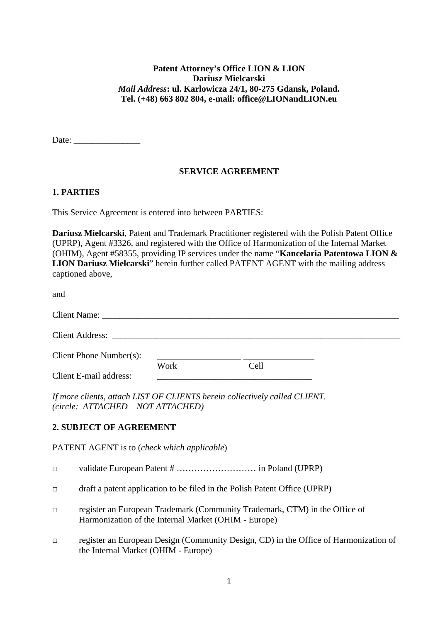#### **Patent Attorney's Office LION & LION Dariusz Mielcarski** *Mail Address***: ul. Karlowicza 24/1, 80-275 Gdansk, Poland. Tel. (+48) 663 802 804, e-mail: office@LIONandLION.eu**

Date:

#### **SERVICE AGREEMENT**

#### **1. PARTIES**

This Service Agreement is entered into between PARTIES:

**Dariusz Mielcarski**, Patent and Trademark Practitioner registered with the Polish Patent Office (UPRP), Agent #3326, and registered with the Office of Harmonization of the Internal Market (OHIM), Agent #58355, providing IP services under the name "**Kancelaria Patentowa LION & LION Dariusz Mielcarski**" herein further called PATENT AGENT with the mailing address captioned above,

and

| Client Phone Number(s): |      |      |  |
|-------------------------|------|------|--|
| Client E-mail address:  | Work | Cell |  |

*If more clients, attach LIST OF CLIENTS herein collectively called CLIENT. (circle: ATTACHED NOT ATTACHED)*

#### **2. SUBJECT OF AGREEMENT**

PATENT AGENT is to (*check which applicable*)

□ validate European Patent # ……………………… in Poland (UPRP)

 $\Box$  draft a patent application to be filed in the Polish Patent Office (UPRP)

- □ register an European Trademark (Community Trademark, CTM) in the Office of Harmonization of the Internal Market (OHIM - Europe)
- □ register an European Design (Community Design, CD) in the Office of Harmonization of the Internal Market (OHIM - Europe)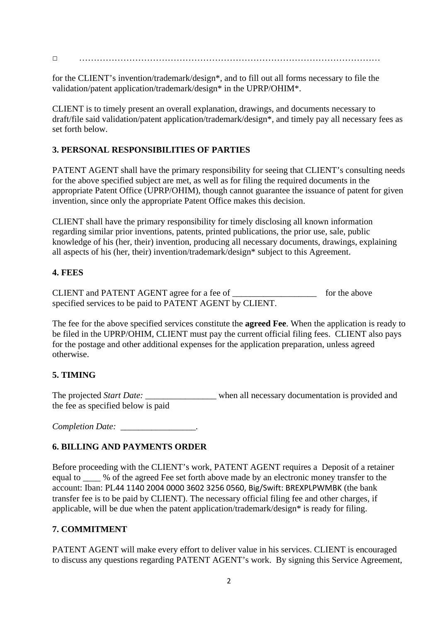□ …………………………………………………………………………………………

for the CLIENT's invention/trademark/design\*, and to fill out all forms necessary to file the validation/patent application/trademark/design\* in the UPRP/OHIM\*.

CLIENT is to timely present an overall explanation, drawings, and documents necessary to draft/file said validation/patent application/trademark/design\*, and timely pay all necessary fees as set forth below.

# **3. PERSONAL RESPONSIBILITIES OF PARTIES**

PATENT AGENT shall have the primary responsibility for seeing that CLIENT's consulting needs for the above specified subject are met, as well as for filing the required documents in the appropriate Patent Office (UPRP/OHIM), though cannot guarantee the issuance of patent for given invention, since only the appropriate Patent Office makes this decision.

CLIENT shall have the primary responsibility for timely disclosing all known information regarding similar prior inventions, patents, printed publications, the prior use, sale, public knowledge of his (her, their) invention, producing all necessary documents, drawings, explaining all aspects of his (her, their) invention/trademark/design\* subject to this Agreement.

## **4. FEES**

CLIENT and PATENT AGENT agree for a fee of *\_\_\_\_\_\_\_\_\_\_\_\_\_\_\_\_\_\_\_* for the above specified services to be paid to PATENT AGENT by CLIENT.

The fee for the above specified services constitute the **agreed Fee**. When the application is ready to be filed in the UPRP/OHIM, CLIENT must pay the current official filing fees. CLIENT also pays for the postage and other additional expenses for the application preparation, unless agreed otherwise.

# **5. TIMING**

The projected *Start Date:* when all necessary documentation is provided and the fee as specified below is paid

*Completion Date: \_\_\_\_\_\_\_\_\_\_\_\_\_\_\_\_\_.* 

# **6. BILLING AND PAYMENTS ORDER**

Before proceeding with the CLIENT's work, PATENT AGENT requires a Deposit of a retainer equal to  $\%$  of the agreed Fee set forth above made by an electronic money transfer to the account: Iban: PL44 1140 2004 0000 3602 3256 0560, Big/Swift: BREXPLPWMBK (the bank transfer fee is to be paid by CLIENT). The necessary official filing fee and other charges, if applicable, will be due when the patent application/trademark/design\* is ready for filing.

#### **7. COMMITMENT**

PATENT AGENT will make every effort to deliver value in his services. CLIENT is encouraged to discuss any questions regarding PATENT AGENT's work. By signing this Service Agreement,